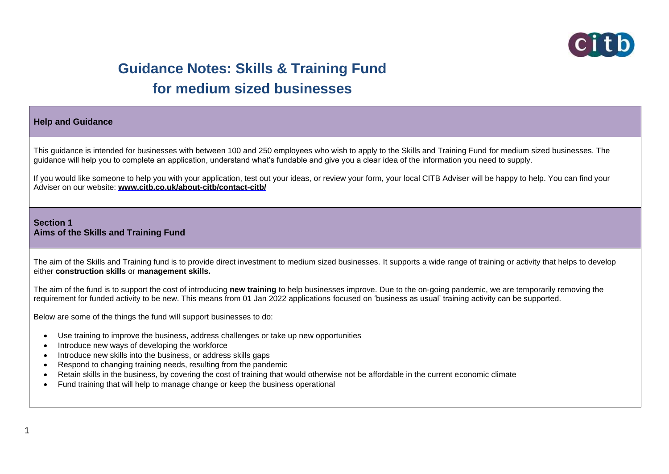

# **Guidance Notes: Skills & Training Fund for medium sized businesses**

#### **Help and Guidance**

This guidance is intended for businesses with between 100 and 250 employees who wish to apply to the Skills and Training Fund for medium sized businesses. The guidance will help you to complete an application, understand what's fundable and give you a clear idea of the information you need to supply.

If you would like someone to help you with your application, test out your ideas, or review your form, your local CITB Adviser will be happy to help. You can find your Adviser on our website: **[www.citb.co.uk/about-citb/contact-citb/](http://www.citb.co.uk/about-citb/contact-citb/)**

#### **Section 1 Aims of the Skills and Training Fund**

The aim of the Skills and Training fund is to provide direct investment to medium sized businesses. It supports a wide range of training or activity that helps to develop either **construction skills** or **management skills.**

The aim of the fund is to support the cost of introducing **new training** to help businesses improve. Due to the on-going pandemic, we are temporarily removing the requirement for funded activity to be new. This means from 01 Jan 2022 applications focused on 'business as usual' training activity can be supported.

Below are some of the things the fund will support businesses to do:

- Use training to improve the business, address challenges or take up new opportunities
- Introduce new ways of developing the workforce
- Introduce new skills into the business, or address skills gaps
- Respond to changing training needs, resulting from the pandemic
- Retain skills in the business, by covering the cost of training that would otherwise not be affordable in the current economic climate
- Fund training that will help to manage change or keep the business operational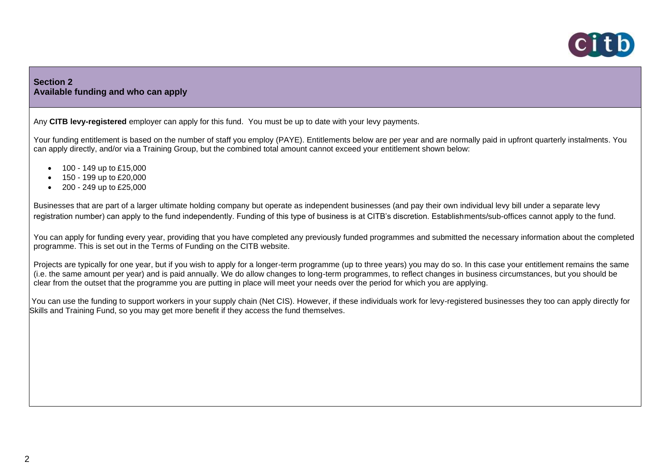

# **Section 2 Available funding and who can apply**

Any **CITB levy-registered** employer can apply for this fund. You must be up to date with your levy payments.

Your funding entitlement is based on the number of staff you employ (PAYE). Entitlements below are per year and are normally paid in upfront quarterly instalments. You can apply directly, and/or via a Training Group, but the combined total amount cannot exceed your entitlement shown below:

- $\bullet$  100 149 up to £15,000
- 150 199 up to £20,000
- 200 249 up to £25,000

Businesses that are part of a larger ultimate holding company but operate as independent businesses (and pay their own individual levy bill under a separate levy registration number) can apply to the fund independently. Funding of this type of business is at CITB's discretion. Establishments/sub-offices cannot apply to the fund.

You can apply for funding every year, providing that you have completed any previously funded programmes and submitted the necessary information about the completed programme. This is set out in the Terms of Funding on the CITB website.

Projects are typically for one year, but if you wish to apply for a longer-term programme (up to three years) you may do so. In this case your entitlement remains the same (i.e. the same amount per year) and is paid annually. We do allow changes to long-term programmes, to reflect changes in business circumstances, but you should be clear from the outset that the programme you are putting in place will meet your needs over the period for which you are applying.

You can use the funding to support workers in your supply chain (Net CIS). However, if these individuals work for levy-registered businesses they too can apply directly for Skills and Training Fund, so you may get more benefit if they access the fund themselves.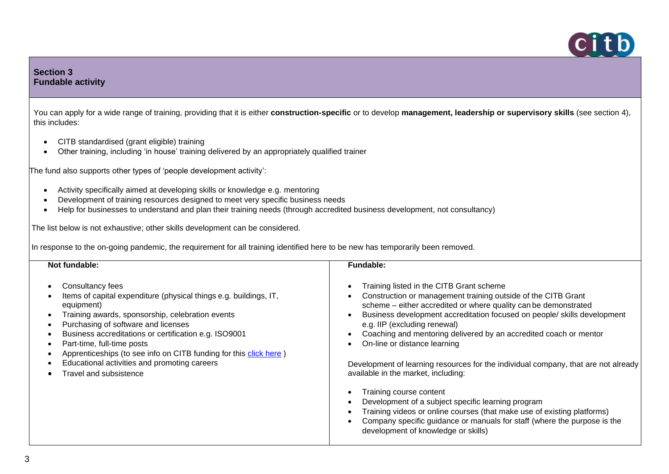

# **Section 3 Fundable activity**

You can apply for a wide range of training, providing that it is either **construction-specific** or to develop **management, leadership or supervisory skills** (see section 4), this includes:

- CITB standardised (grant eligible) training
- Other training, including 'in house' training delivered by an appropriately qualified trainer

The fund also supports other types of 'people development activity':

- Activity specifically aimed at developing skills or knowledge e.g. mentoring
- Development of training resources designed to meet very specific business needs
- Help for businesses to understand and plan their training needs (through accredited business development, not consultancy)

The list below is not exhaustive; other skills development can be considered.

In response to the on-going pandemic, the requirement for all training identified here to be new has temporarily been removed.

| Not fundable:                                                                                                                                                                                                                                                                                                                                                                                                                                                                            | <b>Fundable:</b>                                                                                                                                                                                                                                                                                                                                                                                                                                                                                                                                                                                                                                                                                                                                                                                                                    |
|------------------------------------------------------------------------------------------------------------------------------------------------------------------------------------------------------------------------------------------------------------------------------------------------------------------------------------------------------------------------------------------------------------------------------------------------------------------------------------------|-------------------------------------------------------------------------------------------------------------------------------------------------------------------------------------------------------------------------------------------------------------------------------------------------------------------------------------------------------------------------------------------------------------------------------------------------------------------------------------------------------------------------------------------------------------------------------------------------------------------------------------------------------------------------------------------------------------------------------------------------------------------------------------------------------------------------------------|
| Consultancy fees<br>Items of capital expenditure (physical things e.g. buildings, IT,<br>equipment)<br>Training awards, sponsorship, celebration events<br>Purchasing of software and licenses<br>$\bullet$<br>Business accreditations or certification e.g. ISO9001<br>$\bullet$<br>Part-time, full-time posts<br>$\bullet$<br>Apprenticeships (to see info on CITB funding for this click here)<br>$\bullet$<br>Educational activities and promoting careers<br>Travel and subsistence | Training listed in the CITB Grant scheme<br>$\bullet$<br>Construction or management training outside of the CITB Grant<br>scheme - either accredited or where quality can be demonstrated<br>Business development accreditation focused on people/ skills development<br>e.g. IIP (excluding renewal)<br>Coaching and mentoring delivered by an accredited coach or mentor<br>On-line or distance learning<br>$\bullet$<br>Development of learning resources for the individual company, that are not already<br>available in the market, including:<br>Training course content<br>Development of a subject specific learning program<br>Training videos or online courses (that make use of existing platforms)<br>Company specific guidance or manuals for staff (where the purpose is the<br>development of knowledge or skills) |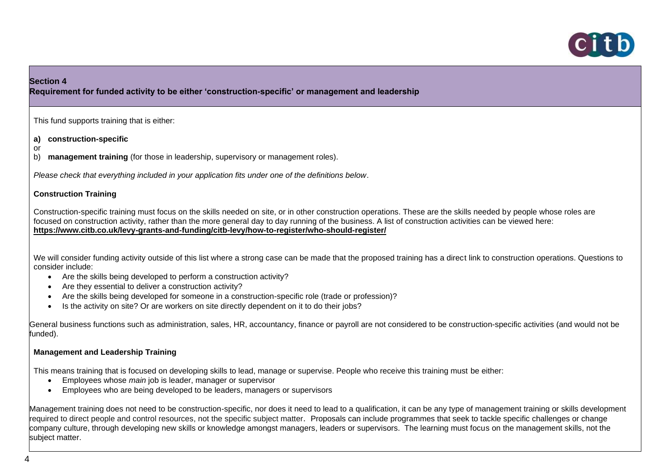

# **Section 4**

**Requirement for funded activity to be either 'construction-specific' or management and leadership**

This fund supports training that is either:

**a) construction-specific** 

or

b) **management training** (for those in leadership, supervisory or management roles).

*Please check that everything included in your application fits under one of the definitions below*.

### **Construction Training**

Construction-specific training must focus on the skills needed on site, or in other construction operations. These are the skills needed by people whose roles are focused on construction activity, rather than the more general day to day running of the business. A list of construction activities can be viewed here: **<https://www.citb.co.uk/levy-grants-and-funding/citb-levy/how-to-register/who-should-register/>**

We will consider funding activity outside of this list where a strong case can be made that the proposed training has a direct link to construction operations. Questions to consider include:

- Are the skills being developed to perform a construction activity?
- Are they essential to deliver a construction activity?
- Are the skills being developed for someone in a construction-specific role (trade or profession)?
- Is the activity on site? Or are workers on site directly dependent on it to do their jobs?

General business functions such as administration, sales, HR, accountancy, finance or payroll are not considered to be construction-specific activities (and would not be funded).

### **Management and Leadership Training**

This means training that is focused on developing skills to lead, manage or supervise. People who receive this training must be either:

- Employees whose *main* job is leader, manager or supervisor
- Employees who are being developed to be leaders, managers or supervisors

Management training does not need to be construction-specific, nor does it need to lead to a qualification, it can be any type of management training or skills development required to direct people and control resources, not the specific subject matter. Proposals can include programmes that seek to tackle specific challenges or change company culture, through developing new skills or knowledge amongst managers, leaders or supervisors. The learning must focus on the management skills, not the subject matter.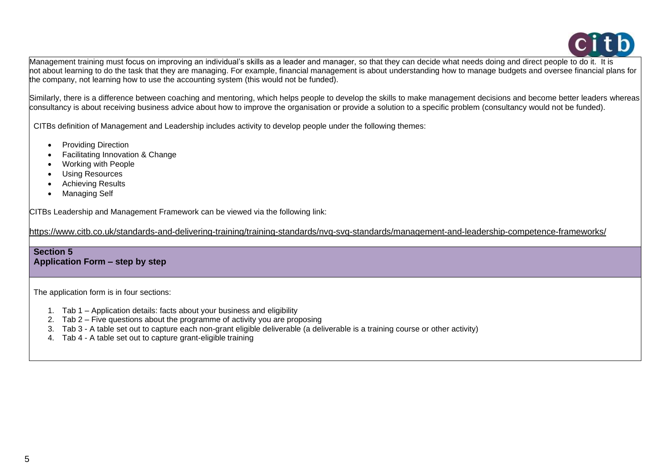

Management training must focus on improving an individual's skills as a leader and manager, so that they can decide what needs doing and direct people to do it. It is not about learning to do the task that they are managing. For example, financial management is about understanding how to manage budgets and oversee financial plans for the company, not learning how to use the accounting system (this would not be funded).

Similarly, there is a difference between coaching and mentoring, which helps people to develop the skills to make management decisions and become better leaders whereas consultancy is about receiving business advice about how to improve the organisation or provide a solution to a specific problem (consultancy would not be funded).

CITBs definition of Management and Leadership includes activity to develop people under the following themes:

- Providing Direction
- Facilitating Innovation & Change
- Working with People
- Using Resources
- Achieving Results
- Managing Self

CITBs Leadership and Management Framework can be viewed via the following link:

<https://www.citb.co.uk/standards-and-delivering-training/training-standards/nvq-svq-standards/management-and-leadership-competence-frameworks/>

#### **Section 5 Application Form – step by step**

The application form is in four sections:

- 1. Tab 1 Application details: facts about your business and eligibility
- 2. Tab 2 Five questions about the programme of activity you are proposing
- 3. Tab 3 A table set out to capture each non-grant eligible deliverable (a deliverable is a training course or other activity)
- 4. Tab 4 A table set out to capture grant-eligible training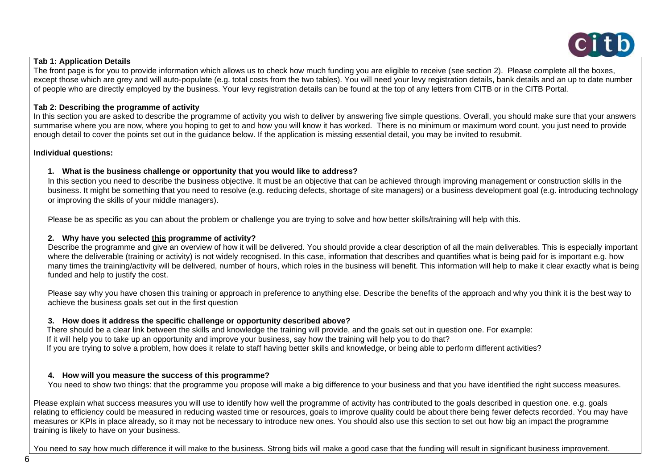

#### **Tab 1: Application Details**

The front page is for you to provide information which allows us to check how much funding you are eligible to receive (see section 2). Please complete all the boxes, except those which are grey and will auto-populate (e.g. total costs from the two tables). You will need your levy registration details, bank details and an up to date number of people who are directly employed by the business. Your levy registration details can be found at the top of any letters from CITB or in the CITB Portal.

### **Tab 2: Describing the programme of activity**

In this section you are asked to describe the programme of activity you wish to deliver by answering five simple questions. Overall, you should make sure that your answers summarise where you are now, where you hoping to get to and how you will know it has worked. There is no minimum or maximum word count, you just need to provide enough detail to cover the points set out in the guidance below. If the application is missing essential detail, you may be invited to resubmit.

#### **Individual questions:**

#### **1. What is the business challenge or opportunity that you would like to address?**

In this section you need to describe the business objective. It must be an objective that can be achieved through improving management or construction skills in the business. It might be something that you need to resolve (e.g. reducing defects, shortage of site managers) or a business development goal (e.g. introducing technology or improving the skills of your middle managers).

Please be as specific as you can about the problem or challenge you are trying to solve and how better skills/training will help with this.

### **2. Why have you selected this programme of activity?**

Describe the programme and give an overview of how it will be delivered. You should provide a clear description of all the main deliverables. This is especially important where the deliverable (training or activity) is not widely recognised. In this case, information that describes and quantifies what is being paid for is important e.g. how many times the training/activity will be delivered, number of hours, which roles in the business will benefit. This information will help to make it clear exactly what is being funded and help to justify the cost.

Please say why you have chosen this training or approach in preference to anything else. Describe the benefits of the approach and why you think it is the best way to achieve the business goals set out in the first question

#### **3. How does it address the specific challenge or opportunity described above?**

**4.** There should be a clear link between the skills and knowledge the training will provide, and the goals set out in question one. For example: **5.** If it will help you to take up an opportunity and improve your business, say how the training will help you to do that? **6.** If you are trying to solve a problem, how does it relate to staff having better skills and knowledge, or being able to perform different activities?

#### **4. How will you measure the success of this programme?**

You need to show two things: that the programme you propose will make a big difference to your business and that you have identified the right success measures.

Please explain what success measures you will use to identify how well the programme of activity has contributed to the goals described in question one. e.g. goals relating to efficiency could be measured in reducing wasted time or resources, goals to improve quality could be about there being fewer defects recorded. You may have measures or KPIs in place already, so it may not be necessary to introduce new ones. You should also use this section to set out how big an impact the programme training is likely to have on your business.

You need to say how much difference it will make to the business. Strong bids will make a good case that the funding will result in significant business improvement.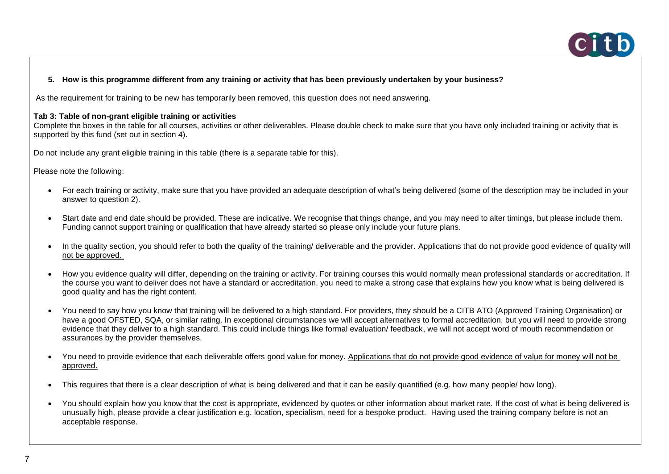

## **5. How is this programme different from any training or activity that has been previously undertaken by your business?**

As the requirement for training to be new has temporarily been removed, this question does not need answering.

#### **Tab 3: Table of non-grant eligible training or activities**

Complete the boxes in the table for all courses, activities or other deliverables. Please double check to make sure that you have only included training or activity that is supported by this fund (set out in section 4).

Do not include any grant eligible training in this table (there is a separate table for this).

Please note the following:

- For each training or activity, make sure that you have provided an adequate description of what's being delivered (some of the description may be included in your answer to question 2).
- Start date and end date should be provided. These are indicative. We recognise that things change, and you may need to alter timings, but please include them. Funding cannot support training or qualification that have already started so please only include your future plans.
- In the quality section, you should refer to both the quality of the training/ deliverable and the provider. Applications that do not provide good evidence of quality will not be approved.
- How you evidence quality will differ, depending on the training or activity. For training courses this would normally mean professional standards or accreditation. If the course you want to deliver does not have a standard or accreditation, you need to make a strong case that explains how you know what is being delivered is good quality and has the right content.
- You need to say how you know that training will be delivered to a high standard. For providers, they should be a CITB ATO (Approved Training Organisation) or have a good OFSTED, SQA, or similar rating. In exceptional circumstances we will accept alternatives to formal accreditation, but you will need to provide strong evidence that they deliver to a high standard. This could include things like formal evaluation/ feedback, we will not accept word of mouth recommendation or assurances by the provider themselves.
- You need to provide evidence that each deliverable offers good value for money. Applications that do not provide good evidence of value for money will not be approved.
- This requires that there is a clear description of what is being delivered and that it can be easily quantified (e.g. how many people/ how long).
- You should explain how you know that the cost is appropriate, evidenced by quotes or other information about market rate. If the cost of what is being delivered is unusually high, please provide a clear justification e.g. location, specialism, need for a bespoke product. Having used the training company before is not an acceptable response.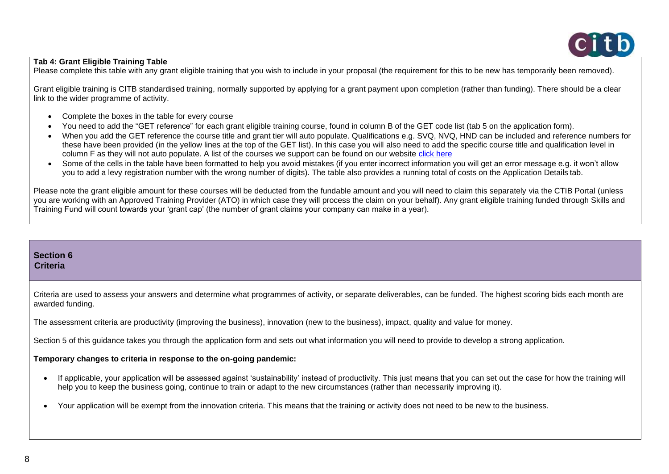# **Tab 4: Grant Eligible Training Table**

Please complete this table with any grant eligible training that you wish to include in your proposal (the requirement for this to be new has temporarily been removed).

Grant eligible training is CITB standardised training, normally supported by applying for a grant payment upon completion (rather than funding). There should be a clear link to the wider programme of activity.

- Complete the boxes in the table for every course
- You need to add the "GET reference" for each grant eligible training course, found in column B of the GET code list (tab 5 on the application form).
- When you add the GET reference the course title and grant tier will auto populate. Qualifications e.g. SVQ, NVQ, HND can be included and reference numbers for these have been provided (in the yellow lines at the top of the GET list). In this case you will also need to add the specific course title and qualification level in column F as they will not auto populate. A list of the courses we support can be found on our website [click here](https://www.citb.co.uk/levy-grants-and-funding/grants-funding/qualification-grants/short-period-less-than-1yr-and-vq-grants/short-qualifications-grant-eligible/)
- Some of the cells in the table have been formatted to help you avoid mistakes (if you enter incorrect information you will get an error message e.g. it won't allow you to add a levy registration number with the wrong number of digits). The table also provides a running total of costs on the Application Details tab.

Please note the grant eligible amount for these courses will be deducted from the fundable amount and you will need to claim this separately via the CTIB Portal (unless you are working with an Approved Training Provider (ATO) in which case they will process the claim on your behalf). Any grant eligible training funded through Skills and Training Fund will count towards your 'grant cap' (the number of grant claims your company can make in a year).

# **Section 6 Criteria**  Criteria are used to assess your answers and determine what programmes of activity, or separate deliverables, can be funded. The highest scoring bids each month are awarded funding. The assessment criteria are productivity (improving the business), innovation (new to the business), impact, quality and value for money. Section 5 of this guidance takes you through the application form and sets out what information you will need to provide to develop a strong application. **Temporary changes to criteria in response to the on-going pandemic:** • If applicable, your application will be assessed against 'sustainability' instead of productivity. This just means that you can set out the case for how the training will help you to keep the business going, continue to train or adapt to the new circumstances (rather than necessarily improving it). • Your application will be exempt from the innovation criteria. This means that the training or activity does not need to be new to the business.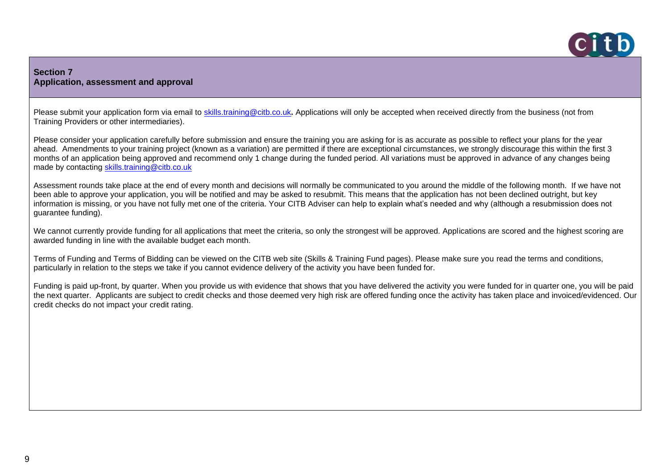

# **Section 7 Application, assessment and approval**

Please submit your application form via email to [skills.training@citb.co.uk](mailto:skills.training@citb.co.uk). Applications will only be accepted when received directly from the business (not from Training Providers or other intermediaries).

Please consider your application carefully before submission and ensure the training you are asking for is as accurate as possible to reflect your plans for the year ahead. Amendments to your training project (known as a variation) are permitted if there are exceptional circumstances, we strongly discourage this within the first 3 months of an application being approved and recommend only 1 change during the funded period. All variations must be approved in advance of any changes being made by contacting [skills.training@citb.co.uk](mailto:skills.training@citb.co.uk)

Assessment rounds take place at the end of every month and decisions will normally be communicated to you around the middle of the following month. If we have not been able to approve your application, you will be notified and may be asked to resubmit. This means that the application has not been declined outright, but key information is missing, or you have not fully met one of the criteria. Your CITB Adviser can help to explain what's needed and why (although a resubmission does not guarantee funding).

We cannot currently provide funding for all applications that meet the criteria, so only the strongest will be approved. Applications are scored and the highest scoring are awarded funding in line with the available budget each month.

Terms of Funding and Terms of Bidding can be viewed on the CITB web site (Skills & Training Fund pages). Please make sure you read the terms and conditions, particularly in relation to the steps we take if you cannot evidence delivery of the activity you have been funded for.

Funding is paid up-front, by quarter. When you provide us with evidence that shows that you have delivered the activity you were funded for in quarter one, you will be paid the next quarter. Applicants are subject to credit checks and those deemed very high risk are offered funding once the activity has taken place and invoiced/evidenced. Our credit checks do not impact your credit rating.